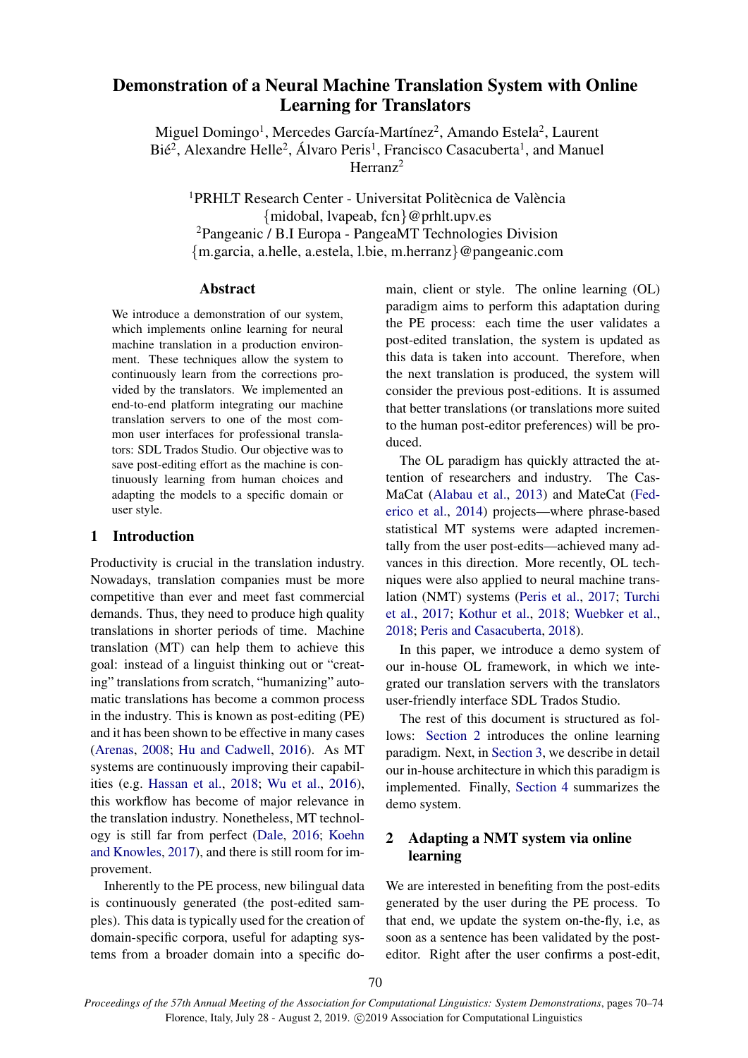# Demonstration of a Neural Machine Translation System with Online Learning for Translators

Miguel Domingo<sup>1</sup>, Mercedes García-Martínez<sup>2</sup>, Amando Estela<sup>2</sup>, Laurent Bié<sup>2</sup>, Alexandre Helle<sup>2</sup>, Álvaro Peris<sup>1</sup>, Francisco Casacuberta<sup>1</sup>, and Manuel Herranz<sup>2</sup>

<sup>1</sup>PRHLT Research Center - Universitat Politècnica de València {midobal, lvapeab, fcn}@prhlt.upv.es <sup>2</sup>Pangeanic / B.I Europa - PangeaMT Technologies Division {m.garcia, a.helle, a.estela, l.bie, m.herranz}@pangeanic.com

#### Abstract

We introduce a demonstration of our system, which implements online learning for neural machine translation in a production environment. These techniques allow the system to continuously learn from the corrections provided by the translators. We implemented an end-to-end platform integrating our machine translation servers to one of the most common user interfaces for professional translators: SDL Trados Studio. Our objective was to save post-editing effort as the machine is continuously learning from human choices and adapting the models to a specific domain or user style.

### 1 Introduction

Productivity is crucial in the translation industry. Nowadays, translation companies must be more competitive than ever and meet fast commercial demands. Thus, they need to produce high quality translations in shorter periods of time. Machine translation (MT) can help them to achieve this goal: instead of a linguist thinking out or "creating" translations from scratch, "humanizing" automatic translations has become a common process in the industry. This is known as post-editing (PE) and it has been shown to be effective in many cases [\(Arenas,](#page-3-0) [2008;](#page-3-0) [Hu and Cadwell,](#page-3-1) [2016\)](#page-3-1). As MT systems are continuously improving their capabilities (e.g. [Hassan et al.,](#page-3-2) [2018;](#page-3-2) [Wu et al.,](#page-4-0) [2016\)](#page-4-0), this workflow has become of major relevance in the translation industry. Nonetheless, MT technology is still far from perfect [\(Dale,](#page-3-3) [2016;](#page-3-3) [Koehn](#page-3-4) [and Knowles,](#page-3-4) [2017\)](#page-3-4), and there is still room for improvement.

Inherently to the PE process, new bilingual data is continuously generated (the post-edited samples). This data is typically used for the creation of domain-specific corpora, useful for adapting systems from a broader domain into a specific domain, client or style. The online learning (OL) paradigm aims to perform this adaptation during the PE process: each time the user validates a post-edited translation, the system is updated as this data is taken into account. Therefore, when the next translation is produced, the system will consider the previous post-editions. It is assumed that better translations (or translations more suited to the human post-editor preferences) will be produced.

The OL paradigm has quickly attracted the attention of researchers and industry. The Cas-MaCat [\(Alabau et al.,](#page-3-5) [2013\)](#page-3-5) and MateCat [\(Fed](#page-3-6)[erico et al.,](#page-3-6) [2014\)](#page-3-6) projects—where phrase-based statistical MT systems were adapted incrementally from the user post-edits—achieved many advances in this direction. More recently, OL techniques were also applied to neural machine translation (NMT) systems [\(Peris et al.,](#page-3-7) [2017;](#page-3-7) [Turchi](#page-3-8) [et al.,](#page-3-8) [2017;](#page-3-8) [Kothur et al.,](#page-3-9) [2018;](#page-3-9) [Wuebker et al.,](#page-4-1) [2018;](#page-4-1) [Peris and Casacuberta,](#page-3-10) [2018\)](#page-3-10).

In this paper, we introduce a demo system of our in-house OL framework, in which we integrated our translation servers with the translators user-friendly interface SDL Trados Studio.

The rest of this document is structured as follows: [Section 2](#page-0-0) introduces the online learning paradigm. Next, in [Section 3,](#page-1-0) we describe in detail our in-house architecture in which this paradigm is implemented. Finally, [Section 4](#page-2-0) summarizes the demo system.

## <span id="page-0-0"></span>2 Adapting a NMT system via online learning

We are interested in benefiting from the post-edits generated by the user during the PE process. To that end, we update the system on-the-fly, i.e, as soon as a sentence has been validated by the posteditor. Right after the user confirms a post-edit,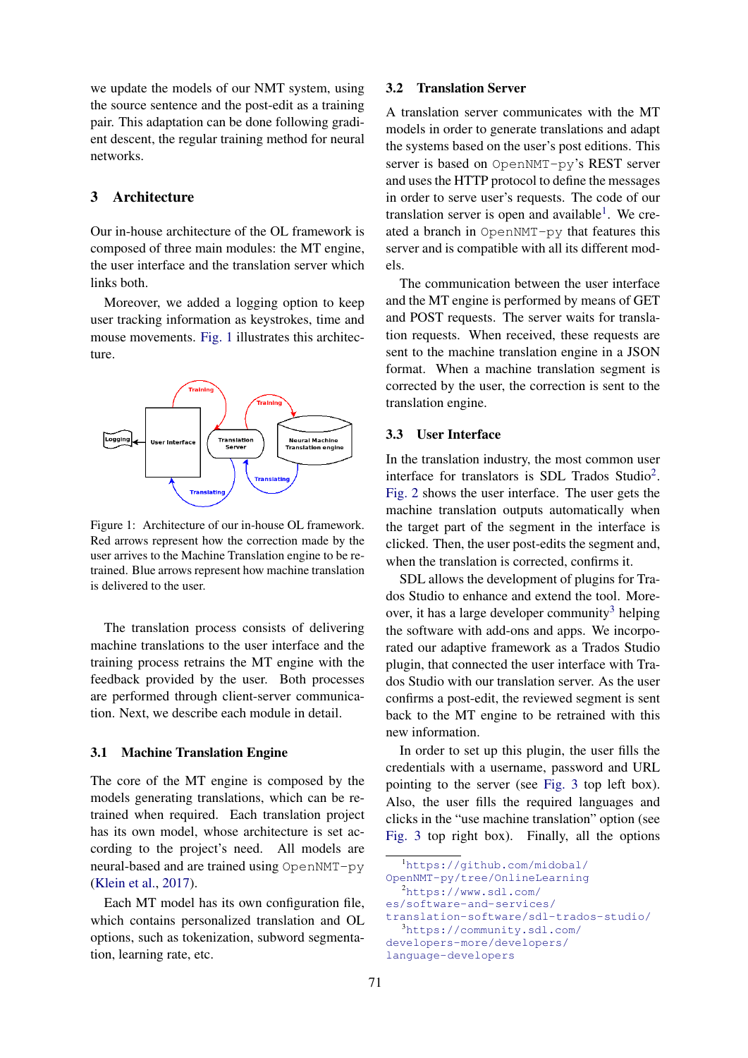we update the models of our NMT system, using the source sentence and the post-edit as a training pair. This adaptation can be done following gradient descent, the regular training method for neural networks.

### <span id="page-1-0"></span>3 Architecture

Our in-house architecture of the OL framework is composed of three main modules: the MT engine, the user interface and the translation server which links both.

Moreover, we added a logging option to keep user tracking information as keystrokes, time and mouse movements. [Fig. 1](#page-1-1) illustrates this architecture.

<span id="page-1-1"></span>

Figure 1: Architecture of our in-house OL framework. Red arrows represent how the correction made by the user arrives to the Machine Translation engine to be retrained. Blue arrows represent how machine translation is delivered to the user.

The translation process consists of delivering machine translations to the user interface and the training process retrains the MT engine with the feedback provided by the user. Both processes are performed through client-server communication. Next, we describe each module in detail.

#### 3.1 Machine Translation Engine

The core of the MT engine is composed by the models generating translations, which can be retrained when required. Each translation project has its own model, whose architecture is set according to the project's need. All models are neural-based and are trained using OpenNMT-py [\(Klein et al.,](#page-3-11) [2017\)](#page-3-11).

Each MT model has its own configuration file, which contains personalized translation and OL options, such as tokenization, subword segmentation, learning rate, etc.

#### 3.2 Translation Server

A translation server communicates with the MT models in order to generate translations and adapt the systems based on the user's post editions. This server is based on OpenNMT-py's REST server and uses the HTTP protocol to define the messages in order to serve user's requests. The code of our translation server is open and available<sup>[1](#page-1-2)</sup>. We created a branch in OpenNMT-py that features this server and is compatible with all its different models.

The communication between the user interface and the MT engine is performed by means of GET and POST requests. The server waits for translation requests. When received, these requests are sent to the machine translation engine in a JSON format. When a machine translation segment is corrected by the user, the correction is sent to the translation engine.

## 3.3 User Interface

In the translation industry, the most common user interface for translators is SDL Trados Studio<sup>[2](#page-1-3)</sup>. [Fig. 2](#page-2-1) shows the user interface. The user gets the machine translation outputs automatically when the target part of the segment in the interface is clicked. Then, the user post-edits the segment and, when the translation is corrected, confirms it.

SDL allows the development of plugins for Trados Studio to enhance and extend the tool. More-over, it has a large developer community<sup>[3](#page-1-4)</sup> helping the software with add-ons and apps. We incorporated our adaptive framework as a Trados Studio plugin, that connected the user interface with Trados Studio with our translation server. As the user confirms a post-edit, the reviewed segment is sent back to the MT engine to be retrained with this new information.

In order to set up this plugin, the user fills the credentials with a username, password and URL pointing to the server (see [Fig. 3](#page-2-2) top left box). Also, the user fills the required languages and clicks in the "use machine translation" option (see [Fig. 3](#page-2-2) top right box). Finally, all the options

<span id="page-1-2"></span><sup>1</sup>[https://github.com/midobal/](https://github.com/midobal/OpenNMT-py/tree/OnlineLearning) [OpenNMT-py/tree/OnlineLearning](https://github.com/midobal/OpenNMT-py/tree/OnlineLearning)

<span id="page-1-3"></span><sup>2</sup>[https://www.sdl.com/](https://www.sdl.com/es/software-and-services/translation-software/sdl-trados-studio/)

[es/software-and-services/](https://www.sdl.com/es/software-and-services/translation-software/sdl-trados-studio/)

<span id="page-1-4"></span>[translation-software/sdl-trados-studio/](https://www.sdl.com/es/software-and-services/translation-software/sdl-trados-studio/) <sup>3</sup>[https://community.sdl.com/](https://community.sdl.com/developers-more/developers/language-developers) [developers-more/developers/](https://community.sdl.com/developers-more/developers/language-developers)

[language-developers](https://community.sdl.com/developers-more/developers/language-developers)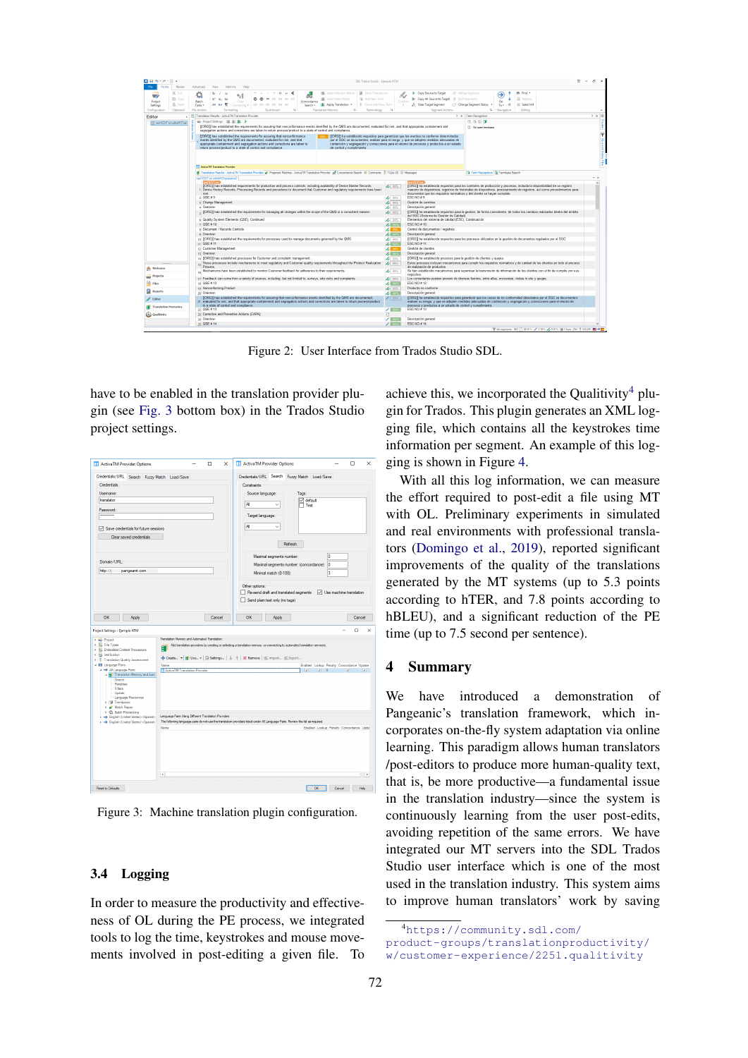<span id="page-2-1"></span>

Figure 2: User Interface from Trados Studio SDL.

have to be enabled in the translation provider plugin (see [Fig. 3](#page-2-2) bottom box) in the Trados Studio project settings.

<span id="page-2-2"></span>

Figure 3: Machine translation plugin configuration.

#### 3.4 Logging

In order to measure the productivity and effectiveness of OL during the PE process, we integrated tools to log the time, keystrokes and mouse movements involved in post-editing a given file. To achieve this, we incorporated the Qualitivity<sup>[4](#page-2-3)</sup> plugin for Trados. This plugin generates an XML logging file, which contains all the keystrokes time information per segment. An example of this logging is shown in Figure [4.](#page-3-12)

With all this log information, we can measure the effort required to post-edit a file using MT with OL. Preliminary experiments in simulated and real environments with professional translators [\(Domingo et al.,](#page-3-13) [2019\)](#page-3-13), reported significant improvements of the quality of the translations generated by the MT systems (up to 5.3 points according to hTER, and 7.8 points according to hBLEU), and a significant reduction of the PE time (up to 7.5 second per sentence).

## <span id="page-2-0"></span>4 Summary

We have introduced a demonstration of Pangeanic's translation framework, which incorporates on-the-fly system adaptation via online learning. This paradigm allows human translators /post-editors to produce more human-quality text, that is, be more productive—a fundamental issue in the translation industry—since the system is continuously learning from the user post-edits, avoiding repetition of the same errors. We have integrated our MT servers into the SDL Trados Studio user interface which is one of the most used in the translation industry. This system aims to improve human translators' work by saving

<span id="page-2-3"></span><sup>4</sup>[https://community.sdl.com/](https://community.sdl.com/product-groups/translationproductivity/w/customer-experience/2251.qualitivity)

[product-groups/translationproductivity/](https://community.sdl.com/product-groups/translationproductivity/w/customer-experience/2251.qualitivity) [w/customer-experience/2251.qualitivity](https://community.sdl.com/product-groups/translationproductivity/w/customer-experience/2251.qualitivity)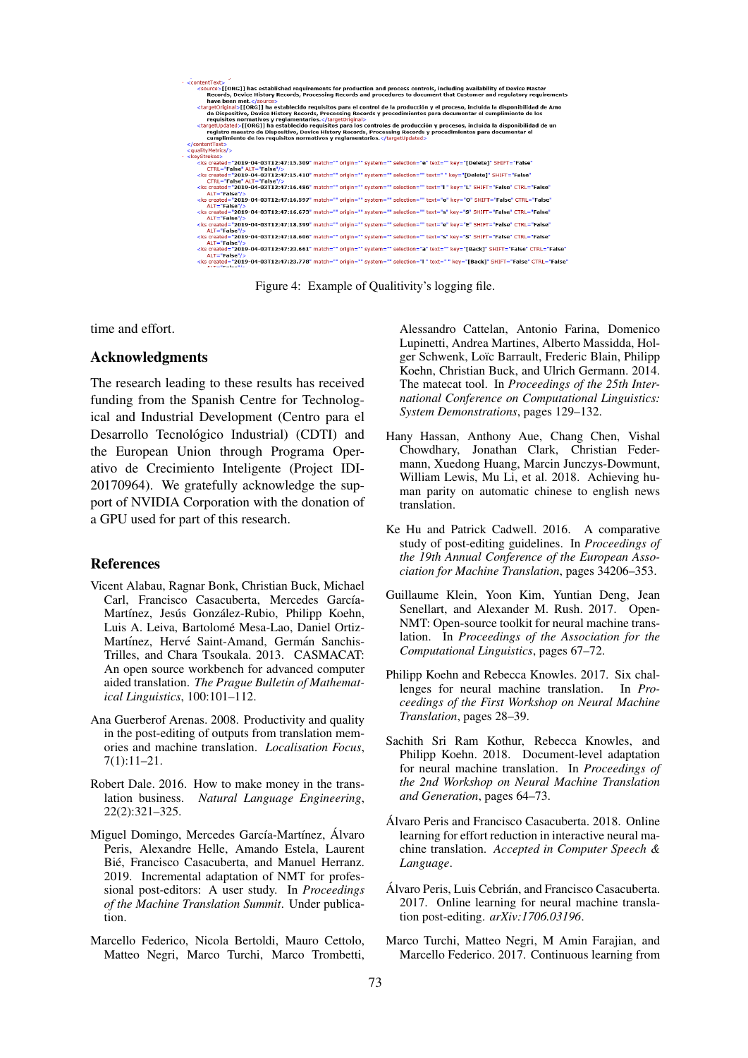<span id="page-3-12"></span>

Figure 4: Example of Qualitivity's logging file.

time and effort.

#### Acknowledgments

The research leading to these results has received funding from the Spanish Centre for Technological and Industrial Development (Centro para el Desarrollo Tecnológico Industrial) (CDTI) and the European Union through Programa Operativo de Crecimiento Inteligente (Project IDI-20170964). We gratefully acknowledge the support of NVIDIA Corporation with the donation of a GPU used for part of this research.

#### References

- <span id="page-3-5"></span>Vicent Alabau, Ragnar Bonk, Christian Buck, Michael Carl, Francisco Casacuberta, Mercedes García-Martínez, Jesús González-Rubio, Philipp Koehn. Luis A. Leiva, Bartolomé Mesa-Lao, Daniel Ortiz-Martínez, Hervé Saint-Amand, Germán Sanchis-Trilles, and Chara Tsoukala. 2013. CASMACAT: An open source workbench for advanced computer aided translation. *The Prague Bulletin of Mathematical Linguistics*, 100:101–112.
- <span id="page-3-0"></span>Ana Guerberof Arenas. 2008. Productivity and quality in the post-editing of outputs from translation memories and machine translation. *Localisation Focus*, 7(1):11–21.
- <span id="page-3-3"></span>Robert Dale. 2016. How to make money in the translation business. *Natural Language Engineering*, 22(2):321–325.
- <span id="page-3-13"></span>Miguel Domingo, Mercedes García-Martínez, Álvaro Peris, Alexandre Helle, Amando Estela, Laurent Bié, Francisco Casacuberta, and Manuel Herranz. 2019. Incremental adaptation of NMT for professional post-editors: A user study. In *Proceedings of the Machine Translation Summit*. Under publication.
- <span id="page-3-6"></span>Marcello Federico, Nicola Bertoldi, Mauro Cettolo, Matteo Negri, Marco Turchi, Marco Trombetti,

Alessandro Cattelan, Antonio Farina, Domenico Lupinetti, Andrea Martines, Alberto Massidda, Holger Schwenk, Loïc Barrault, Frederic Blain, Philipp Koehn, Christian Buck, and Ulrich Germann. 2014. The matecat tool. In *Proceedings of the 25th International Conference on Computational Linguistics: System Demonstrations*, pages 129–132.

- <span id="page-3-2"></span>Hany Hassan, Anthony Aue, Chang Chen, Vishal Chowdhary, Jonathan Clark, Christian Federmann, Xuedong Huang, Marcin Junczys-Dowmunt, William Lewis, Mu Li, et al. 2018. Achieving human parity on automatic chinese to english news translation.
- <span id="page-3-1"></span>Ke Hu and Patrick Cadwell. 2016. A comparative study of post-editing guidelines. In *Proceedings of the 19th Annual Conference of the European Association for Machine Translation*, pages 34206–353.
- <span id="page-3-11"></span>Guillaume Klein, Yoon Kim, Yuntian Deng, Jean Senellart, and Alexander M. Rush. 2017. Open-NMT: Open-source toolkit for neural machine translation. In *Proceedings of the Association for the Computational Linguistics*, pages 67–72.
- <span id="page-3-4"></span>Philipp Koehn and Rebecca Knowles. 2017. Six challenges for neural machine translation. In *Proceedings of the First Workshop on Neural Machine Translation*, pages 28–39.
- <span id="page-3-9"></span>Sachith Sri Ram Kothur, Rebecca Knowles, and Philipp Koehn. 2018. Document-level adaptation for neural machine translation. In *Proceedings of the 2nd Workshop on Neural Machine Translation and Generation*, pages 64–73.
- <span id="page-3-10"></span>Alvaro Peris and Francisco Casacuberta. 2018. Online ´ learning for effort reduction in interactive neural machine translation. *Accepted in Computer Speech & Language*.
- <span id="page-3-7"></span>Álvaro Peris, Luis Cebrián, and Francisco Casacuberta. 2017. Online learning for neural machine translation post-editing. *arXiv:1706.03196*.
- <span id="page-3-8"></span>Marco Turchi, Matteo Negri, M Amin Farajian, and Marcello Federico. 2017. Continuous learning from